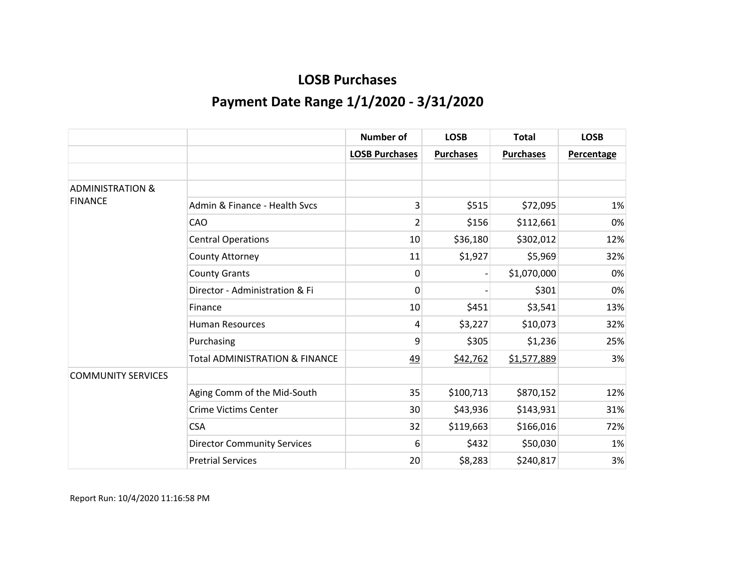|                             |                                           | <b>Number of</b>      | <b>LOSB</b>      | <b>Total</b>     | <b>LOSB</b>       |
|-----------------------------|-------------------------------------------|-----------------------|------------------|------------------|-------------------|
|                             |                                           | <b>LOSB Purchases</b> | <b>Purchases</b> | <b>Purchases</b> | <b>Percentage</b> |
|                             |                                           |                       |                  |                  |                   |
| <b>ADMINISTRATION &amp;</b> |                                           |                       |                  |                  |                   |
| <b>FINANCE</b>              | Admin & Finance - Health Sycs             | 3                     | \$515            | \$72,095         | 1%                |
|                             | CAO                                       | 2                     | \$156            | \$112,661        | 0%                |
|                             | <b>Central Operations</b>                 | 10                    | \$36,180         | \$302,012        | 12%               |
|                             | County Attorney                           | 11                    | \$1,927          | \$5,969          | 32%               |
|                             | <b>County Grants</b>                      | 0                     |                  | \$1,070,000      | 0%                |
|                             | Director - Administration & Fi            | 0                     |                  | \$301            | 0%                |
|                             | Finance                                   | 10                    | \$451            | \$3,541          | 13%               |
|                             | <b>Human Resources</b>                    | 4                     | \$3,227          | \$10,073         | 32%               |
|                             | Purchasing                                | 9                     | \$305            | \$1,236          | 25%               |
|                             | <b>Total ADMINISTRATION &amp; FINANCE</b> | <u>49</u>             | \$42,762         | \$1,577,889      | 3%                |
| <b>COMMUNITY SERVICES</b>   |                                           |                       |                  |                  |                   |
|                             | Aging Comm of the Mid-South               | 35                    | \$100,713        | \$870,152        | 12%               |
|                             | <b>Crime Victims Center</b>               | 30                    | \$43,936         | \$143,931        | 31%               |
|                             | <b>CSA</b>                                | 32                    | \$119,663        | \$166,016        | 72%               |
|                             | <b>Director Community Services</b>        | 6                     | \$432            | \$50,030         | 1%                |
|                             | <b>Pretrial Services</b>                  | 20                    | \$8,283          | \$240,817        | 3%                |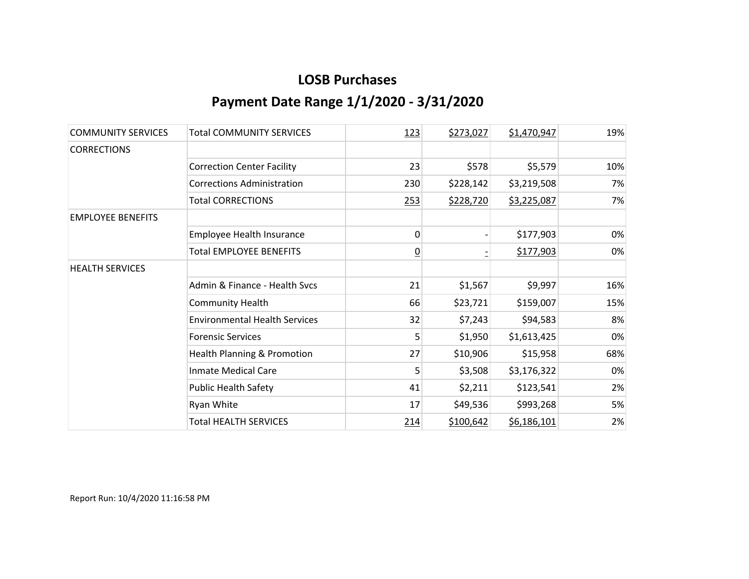| <b>COMMUNITY SERVICES</b> | <b>Total COMMUNITY SERVICES</b>        | 123            | \$273,027 | \$1,470,947 | 19% |
|---------------------------|----------------------------------------|----------------|-----------|-------------|-----|
| <b>CORRECTIONS</b>        |                                        |                |           |             |     |
|                           | <b>Correction Center Facility</b>      | 23             | \$578     | \$5,579     | 10% |
|                           | <b>Corrections Administration</b>      | 230            | \$228,142 | \$3,219,508 | 7%  |
|                           | <b>Total CORRECTIONS</b>               | 253            | \$228,720 | \$3,225,087 | 7%  |
| <b>EMPLOYEE BENEFITS</b>  |                                        |                |           |             |     |
|                           | Employee Health Insurance              | 0              |           | \$177,903   | 0%  |
|                           | <b>Total EMPLOYEE BENEFITS</b>         | $\overline{0}$ |           | \$177,903   | 0%  |
| <b>HEALTH SERVICES</b>    |                                        |                |           |             |     |
|                           | Admin & Finance - Health Svcs          | 21             | \$1,567   | \$9,997     | 16% |
|                           | <b>Community Health</b>                | 66             | \$23,721  | \$159,007   | 15% |
|                           | <b>Environmental Health Services</b>   | 32             | \$7,243   | \$94,583    | 8%  |
|                           | <b>Forensic Services</b>               | 5              | \$1,950   | \$1,613,425 | 0%  |
|                           | <b>Health Planning &amp; Promotion</b> | 27             | \$10,906  | \$15,958    | 68% |
|                           | <b>Inmate Medical Care</b>             | 5              | \$3,508   | \$3,176,322 | 0%  |
|                           | <b>Public Health Safety</b>            | 41             | \$2,211   | \$123,541   | 2%  |
|                           | Ryan White                             | 17             | \$49,536  | \$993,268   | 5%  |
|                           | <b>Total HEALTH SERVICES</b>           | 214            | \$100,642 | \$6,186,101 | 2%  |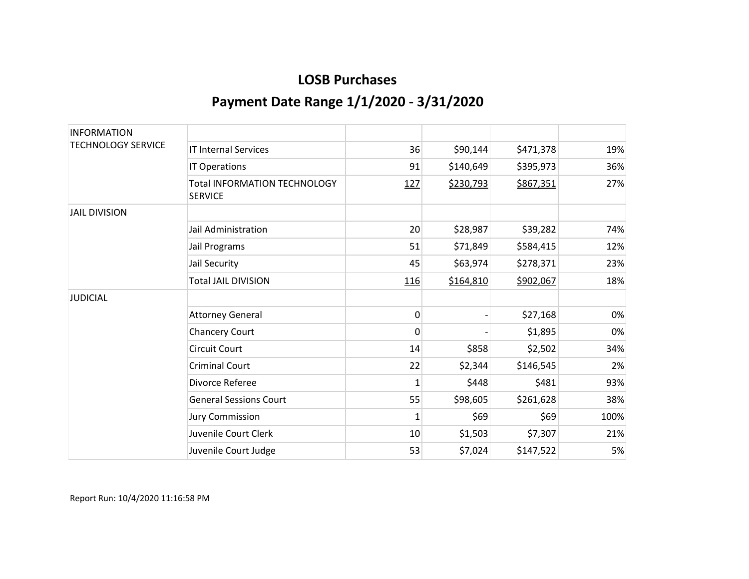| <b>INFORMATION</b>        |                                                       |              |           |           |      |
|---------------------------|-------------------------------------------------------|--------------|-----------|-----------|------|
| <b>TECHNOLOGY SERVICE</b> | <b>IT Internal Services</b>                           | 36           | \$90,144  | \$471,378 | 19%  |
|                           | IT Operations                                         | 91           | \$140,649 | \$395,973 | 36%  |
|                           | <b>Total INFORMATION TECHNOLOGY</b><br><b>SERVICE</b> | 127          | \$230,793 | \$867,351 | 27%  |
| <b>JAIL DIVISION</b>      |                                                       |              |           |           |      |
|                           | Jail Administration                                   | 20           | \$28,987  | \$39,282  | 74%  |
|                           | Jail Programs                                         | 51           | \$71,849  | \$584,415 | 12%  |
|                           | Jail Security                                         | 45           | \$63,974  | \$278,371 | 23%  |
|                           | <b>Total JAIL DIVISION</b>                            | <u>116</u>   | \$164,810 | \$902,067 | 18%  |
| <b>JUDICIAL</b>           |                                                       |              |           |           |      |
|                           | <b>Attorney General</b>                               | 0            |           | \$27,168  | 0%   |
|                           | <b>Chancery Court</b>                                 | 0            |           | \$1,895   | 0%   |
|                           | <b>Circuit Court</b>                                  | 14           | \$858     | \$2,502   | 34%  |
|                           | <b>Criminal Court</b>                                 | 22           | \$2,344   | \$146,545 | 2%   |
|                           | Divorce Referee                                       | $\mathbf{1}$ | \$448     | \$481     | 93%  |
|                           | <b>General Sessions Court</b>                         | 55           | \$98,605  | \$261,628 | 38%  |
|                           | <b>Jury Commission</b>                                | 1            | \$69      | \$69      | 100% |
|                           | Juvenile Court Clerk                                  | 10           | \$1,503   | \$7,307   | 21%  |
|                           | Juvenile Court Judge                                  | 53           | \$7,024   | \$147,522 | 5%   |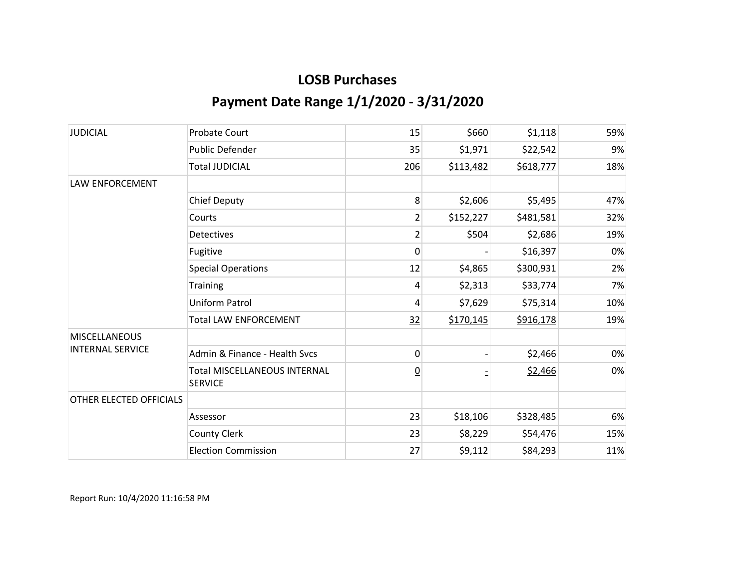| <b>JUDICIAL</b>         | <b>Probate Court</b>                                  | 15              | \$660     | \$1,118   | 59% |
|-------------------------|-------------------------------------------------------|-----------------|-----------|-----------|-----|
|                         | Public Defender                                       | 35              | \$1,971   | \$22,542  | 9%  |
|                         | <b>Total JUDICIAL</b>                                 | 206             | \$113,482 | \$618,777 | 18% |
| <b>LAW ENFORCEMENT</b>  |                                                       |                 |           |           |     |
|                         | <b>Chief Deputy</b>                                   | 8               | \$2,606   | \$5,495   | 47% |
|                         | Courts                                                | 2               | \$152,227 | \$481,581 | 32% |
|                         | <b>Detectives</b>                                     | 2               | \$504     | \$2,686   | 19% |
|                         | Fugitive                                              | 0               |           | \$16,397  | 0%  |
|                         | <b>Special Operations</b>                             | 12              | \$4,865   | \$300,931 | 2%  |
|                         | <b>Training</b>                                       | 4               | \$2,313   | \$33,774  | 7%  |
|                         | Uniform Patrol                                        | 4               | \$7,629   | \$75,314  | 10% |
|                         | <b>Total LAW ENFORCEMENT</b>                          | 32              | \$170,145 | \$916,178 | 19% |
| <b>MISCELLANEOUS</b>    |                                                       |                 |           |           |     |
| <b>INTERNAL SERVICE</b> | Admin & Finance - Health Svcs                         | 0               |           | \$2,466   | 0%  |
|                         | <b>Total MISCELLANEOUS INTERNAL</b><br><b>SERVICE</b> | $\underline{0}$ |           | \$2,466   | 0%  |
| OTHER ELECTED OFFICIALS |                                                       |                 |           |           |     |
|                         | Assessor                                              | 23              | \$18,106  | \$328,485 | 6%  |
|                         | <b>County Clerk</b>                                   | 23              | \$8,229   | \$54,476  | 15% |
|                         | <b>Election Commission</b>                            | 27              | \$9,112   | \$84,293  | 11% |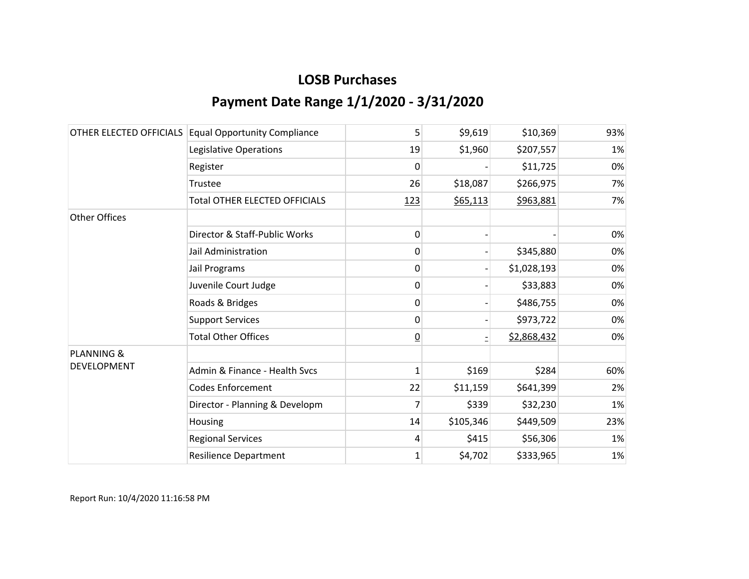|                       | OTHER ELECTED OFFICIALS Equal Opportunity Compliance | 5               | \$9,619   | \$10,369    | 93% |
|-----------------------|------------------------------------------------------|-----------------|-----------|-------------|-----|
|                       | Legislative Operations                               | 19              | \$1,960   | \$207,557   | 1%  |
|                       | Register                                             | 0               |           | \$11,725    | 0%  |
|                       | Trustee                                              | 26              | \$18,087  | \$266,975   | 7%  |
|                       | <b>Total OTHER ELECTED OFFICIALS</b>                 | 123             | \$65,113  | \$963,881   | 7%  |
| <b>Other Offices</b>  |                                                      |                 |           |             |     |
|                       | Director & Staff-Public Works                        | 0               |           |             | 0%  |
|                       | Jail Administration                                  | 0               |           | \$345,880   | 0%  |
|                       | Jail Programs                                        | 0               |           | \$1,028,193 | 0%  |
|                       | Juvenile Court Judge                                 | 0               |           | \$33,883    | 0%  |
|                       | Roads & Bridges                                      | 0               |           | \$486,755   | 0%  |
|                       | <b>Support Services</b>                              | 0               |           | \$973,722   | 0%  |
|                       | <b>Total Other Offices</b>                           | $\underline{0}$ |           | \$2,868,432 | 0%  |
| <b>PLANNING &amp;</b> |                                                      |                 |           |             |     |
| <b>DEVELOPMENT</b>    | Admin & Finance - Health Svcs                        | $\mathbf{1}$    | \$169     | \$284       | 60% |
|                       | <b>Codes Enforcement</b>                             | 22              | \$11,159  | \$641,399   | 2%  |
|                       | Director - Planning & Developm                       | 7               | \$339     | \$32,230    | 1%  |
|                       | Housing                                              | 14              | \$105,346 | \$449,509   | 23% |
|                       | <b>Regional Services</b>                             | 4               | \$415     | \$56,306    | 1%  |
|                       | <b>Resilience Department</b>                         | $\mathbf{1}$    | \$4,702   | \$333,965   | 1%  |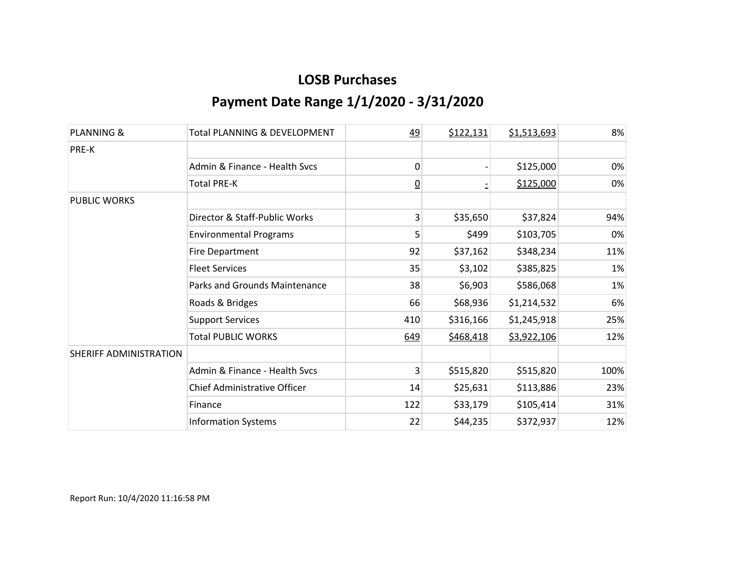| <b>PLANNING &amp;</b>  | <b>Total PLANNING &amp; DEVELOPMENT</b> | 49             | \$122,131 | \$1,513,693 | 8%    |
|------------------------|-----------------------------------------|----------------|-----------|-------------|-------|
| PRE-K                  |                                         |                |           |             |       |
|                        | Admin & Finance - Health Sycs           | 0              |           | \$125,000   | $0\%$ |
|                        | <b>Total PRE-K</b>                      | $\overline{0}$ |           | \$125,000   | 0%    |
| <b>PUBLIC WORKS</b>    |                                         |                |           |             |       |
|                        | Director & Staff-Public Works           | 3              | \$35,650  | \$37,824    | 94%   |
|                        | <b>Environmental Programs</b>           | 5              | \$499     | \$103,705   | 0%    |
|                        | <b>Fire Department</b>                  | 92             | \$37,162  | \$348,234   | 11%   |
|                        | <b>Fleet Services</b>                   | 35             | \$3,102   | \$385,825   | 1%    |
|                        | Parks and Grounds Maintenance           | 38             | \$6,903   | \$586,068   | 1%    |
|                        | Roads & Bridges                         | 66             | \$68,936  | \$1,214,532 | 6%    |
|                        | <b>Support Services</b>                 | 410            | \$316,166 | \$1,245,918 | 25%   |
|                        | <b>Total PUBLIC WORKS</b>               | 649            | \$468,418 | \$3,922,106 | 12%   |
| SHERIFF ADMINISTRATION |                                         |                |           |             |       |
|                        | Admin & Finance - Health Svcs           | 3              | \$515,820 | \$515,820   | 100%  |
|                        | Chief Administrative Officer            | 14             | \$25,631  | \$113,886   | 23%   |
|                        | Finance                                 | 122            | \$33,179  | \$105,414   | 31%   |
|                        | <b>Information Systems</b>              | 22             | \$44,235  | \$372,937   | 12%   |